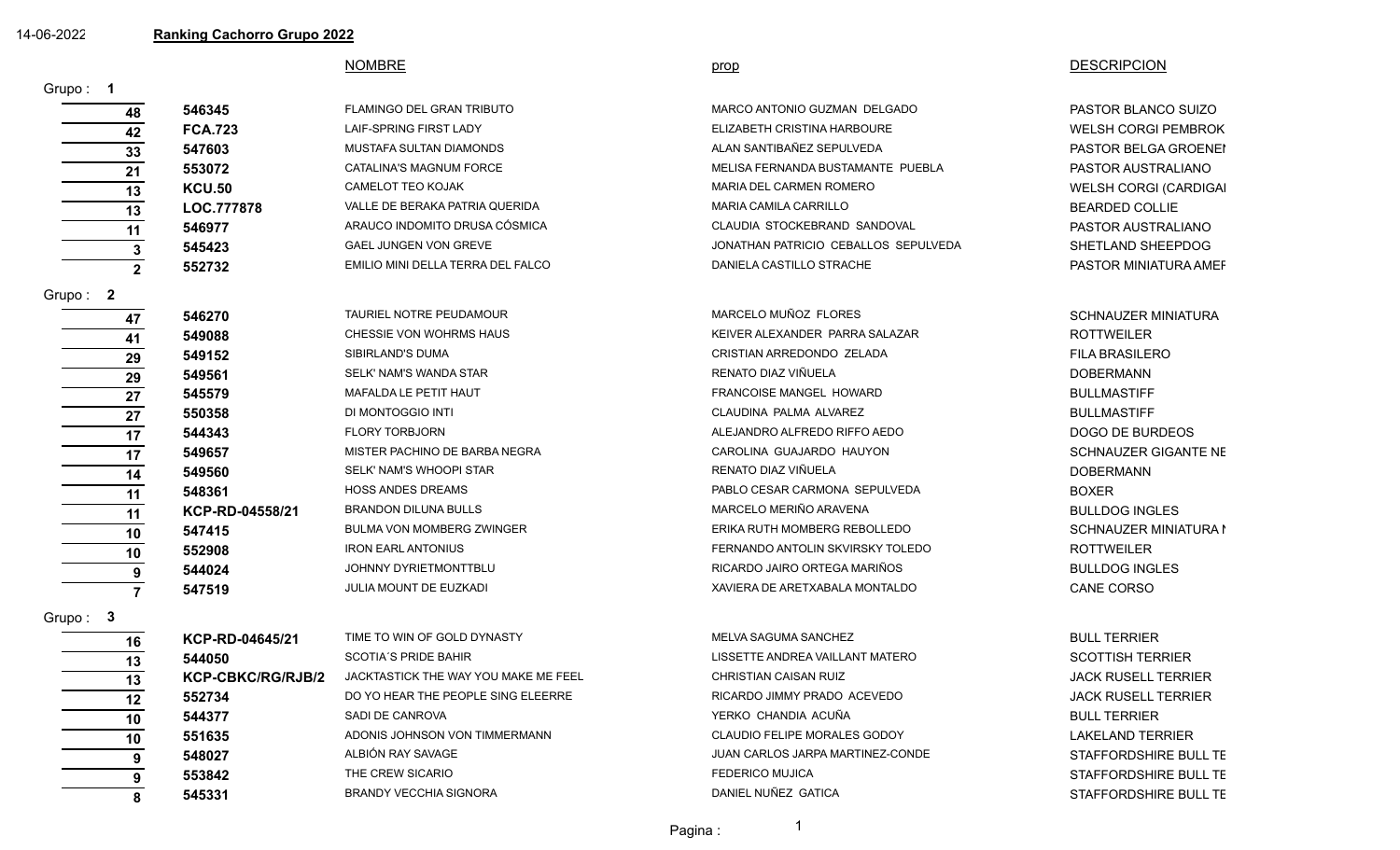|  |  |  |  |  |  | 14-06-2022 |  |  |
|--|--|--|--|--|--|------------|--|--|
|--|--|--|--|--|--|------------|--|--|

14-06-2022 **Ranking Cachorro Grupo 2022**

|                |                          | <b>NOMBRE</b>                        | prop                                 | <b>DESCRIPCION</b>         |
|----------------|--------------------------|--------------------------------------|--------------------------------------|----------------------------|
| Grupo: 1       |                          |                                      |                                      |                            |
| 48             | 546345                   | FLAMINGO DEL GRAN TRIBUTO            | MARCO ANTONIO GUZMAN DELGADO         | PASTOR BLANCO SUIZO        |
| 42             | <b>FCA.723</b>           | LAIF-SPRING FIRST LADY               | ELIZABETH CRISTINA HARBOURE          | <b>WELSH CORGI PEMBROK</b> |
| 33             | 547603                   | MUSTAFA SULTAN DIAMONDS              | ALAN SANTIBAÑEZ SEPULVEDA            | PASTOR BELGA GROENEI       |
| 21             | 553072                   | CATALINA'S MAGNUM FORCE              | MELISA FERNANDA BUSTAMANTE PUEBLA    | PASTOR AUSTRALIANO         |
| 13             | <b>KCU.50</b>            | <b>CAMELOT TEO KOJAK</b>             | MARIA DEL CARMEN ROMERO              | WELSH CORGI (CARDIGAI      |
| 13             | LOC.777878               | VALLE DE BERAKA PATRIA QUERIDA       | <b>MARIA CAMILA CARRILLO</b>         | <b>BEARDED COLLIE</b>      |
| 11             | 546977                   | ARAUCO INDOMITO DRUSA CÓSMICA        | CLAUDIA STOCKEBRAND SANDOVAL         | PASTOR AUSTRALIANO         |
| 3              | 545423                   | GAEL JUNGEN VON GREVE                | JONATHAN PATRICIO CEBALLOS SEPULVEDA | SHETLAND SHEEPDOG          |
| $\overline{2}$ | 552732                   | EMILIO MINI DELLA TERRA DEL FALCO    | DANIELA CASTILLO STRACHE             | PASTOR MINIATURA AMEF      |
| Grupo: $2$     |                          |                                      |                                      |                            |
| 47             | 546270                   | TAURIEL NOTRE PEUDAMOUR              | MARCELO MUÑOZ FLORES                 | <b>SCHNAUZER MINIATURA</b> |
| 41             | 549088                   | CHESSIE VON WOHRMS HAUS              | KEIVER ALEXANDER PARRA SALAZAR       | <b>ROTTWEILER</b>          |
| 29             | 549152                   | SIBIRLAND'S DUMA                     | CRISTIAN ARREDONDO ZELADA            | <b>FILA BRASILERO</b>      |
| 29             | 549561                   | SELK' NAM'S WANDA STAR               | RENATO DIAZ VIÑUELA                  | <b>DOBERMANN</b>           |
| 27             | 545579                   | MAFALDA LE PETIT HAUT                | FRANCOISE MANGEL HOWARD              | <b>BULLMASTIFF</b>         |
| 27             | 550358                   | DI MONTOGGIO INTI                    | CLAUDINA PALMA ALVAREZ               | <b>BULLMASTIFF</b>         |
| 17             | 544343                   | <b>FLORY TORBJORN</b>                | ALEJANDRO ALFREDO RIFFO AEDO         | DOGO DE BURDEOS            |
| 17             | 549657                   | MISTER PACHINO DE BARBA NEGRA        | CAROLINA GUAJARDO HAUYON             | SCHNAUZER GIGANTE NE       |
| 14             | 549560                   | SELK' NAM'S WHOOPI STAR              | RENATO DIAZ VIÑUELA                  | <b>DOBERMANN</b>           |
| 11             | 548361                   | <b>HOSS ANDES DREAMS</b>             | PABLO CESAR CARMONA SEPULVEDA        | <b>BOXER</b>               |
| 11             | KCP-RD-04558/21          | <b>BRANDON DILUNA BULLS</b>          | MARCELO MERIÑO ARAVENA               | <b>BULLDOG INGLES</b>      |
| 10             | 547415                   | <b>BULMA VON MOMBERG ZWINGER</b>     | ERIKA RUTH MOMBERG REBOLLEDO         | SCHNAUZER MINIATURA I      |
| 10             | 552908                   | <b>IRON EARL ANTONIUS</b>            | FERNANDO ANTOLIN SKVIRSKY TOLEDO     | <b>ROTTWEILER</b>          |
| 9              | 544024                   | JOHNNY DYRIETMONTTBLU                | RICARDO JAIRO ORTEGA MARIÑOS         | <b>BULLDOG INGLES</b>      |
| $\overline{7}$ | 547519                   | JULIA MOUNT DE EUZKADI               | XAVIERA DE ARETXABALA MONTALDO       | CANE CORSO                 |
| Grupo: 3       |                          |                                      |                                      |                            |
| 16             | KCP-RD-04645/21          | TIME TO WIN OF GOLD DYNASTY          | MELVA SAGUMA SANCHEZ                 | <b>BULL TERRIER</b>        |
| 13             | 544050                   | <b>SCOTIA'S PRIDE BAHIR</b>          | LISSETTE ANDREA VAILLANT MATERO      | <b>SCOTTISH TERRIER</b>    |
| 13             | <b>KCP-CBKC/RG/RJB/2</b> | JACKTASTICK THE WAY YOU MAKE ME FEEL | <b>CHRISTIAN CAISAN RUIZ</b>         | <b>JACK RUSELL TERRIER</b> |
| 12             | 552734                   | DO YO HEAR THE PEOPLE SING ELEERRE   | RICARDO JIMMY PRADO ACEVEDO          | <b>JACK RUSELL TERRIER</b> |

**10 544377** SADI DE CANROVA SADI E CANROVA SADI E CANDIA SADI BULL TERRIER SADI DE CANROVA BULL TERRIER SADI DE CANROVA **10 551635** ADONIS JOHNSON VON TIMMERMANN CLAUDIO FELIPE MORALES GODOY LAKELAND TERRIER **9 548027** ALBIÓN RAY SAVAGE A SANAGE JUAN CARLOS JARPA MARTINEZ-CONDE STAFFORDSHIRE BULL TE **9** 553842 THE CREW SICARIO **EXERGADE SIGNS STAFFORDSHIRE BULL TE** 

**8** 545331 BRANDY VECCHIA SIGNORA DANIEL NUÑEZ GATICA STAFFORDSHIRE BULL TE

Pagina : 1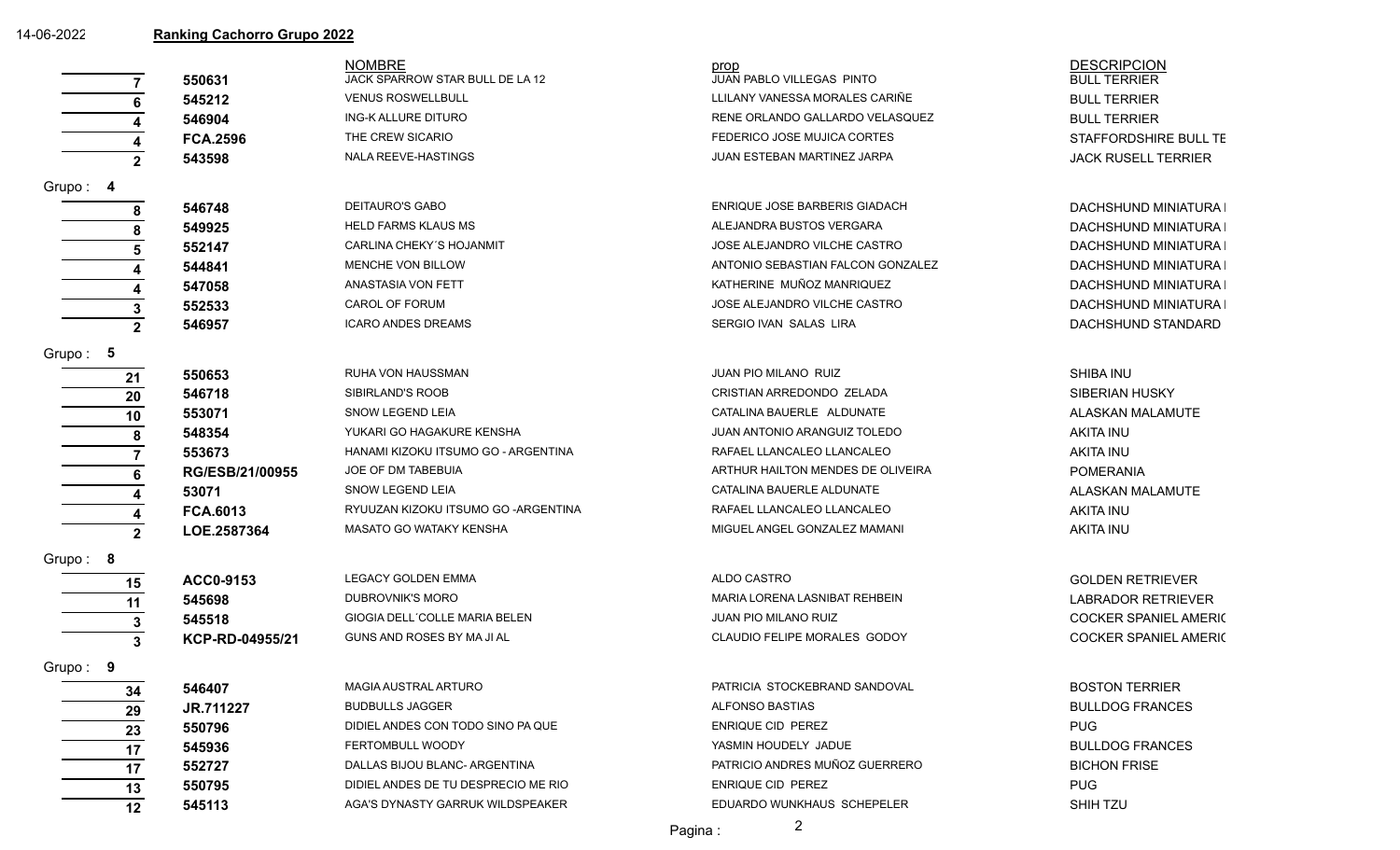| 14-06-2022 | <b>Ranking Cachorro Grupo 2022</b> |                                     |                                   |                              |  |  |  |
|------------|------------------------------------|-------------------------------------|-----------------------------------|------------------------------|--|--|--|
|            |                                    | <b>NOMBRE</b>                       | prop                              | <b>DESCRIPCION</b>           |  |  |  |
|            | 550631                             | JACK SPARROW STAR BULL DE LA 12     | JUAN PABLO VILLEGAS PINTO         | <b>BULL TERRIER</b>          |  |  |  |
|            | 545212                             | <b>VENUS ROSWELLBULL</b>            | LLILANY VANESSA MORALES CARIÑE    | <b>BULL TERRIER</b>          |  |  |  |
|            | 546904                             | ING-K ALLURE DITURO                 | RENE ORLANDO GALLARDO VELASQUEZ   | <b>BULL TERRIER</b>          |  |  |  |
|            | <b>FCA.2596</b>                    | THE CREW SICARIO                    | FEDERICO JOSE MUJICA CORTES       | STAFFORDSHIRE BULL TE        |  |  |  |
|            | 543598<br>$\mathbf{2}$             | NALA REEVE-HASTINGS                 | JUAN ESTEBAN MARTINEZ JARPA       | <b>JACK RUSELL TERRIER</b>   |  |  |  |
| Grupo: 4   |                                    |                                     |                                   |                              |  |  |  |
|            | 546748<br>8                        | <b>DEITAURO'S GABO</b>              | ENRIQUE JOSE BARBERIS GIADACH     | DACHSHUND MINIATURA I        |  |  |  |
|            | 549925                             | <b>HELD FARMS KLAUS MS</b>          | ALEJANDRA BUSTOS VERGARA          | <b>DACHSHUND MINIATURA I</b> |  |  |  |
|            | 552147                             | CARLINA CHEKY'S HOJANMIT            | JOSE ALEJANDRO VILCHE CASTRO      | DACHSHUND MINIATURA I        |  |  |  |
|            | 544841                             | MENCHE VON BILLOW                   | ANTONIO SEBASTIAN FALCON GONZALEZ | DACHSHUND MINIATURA I        |  |  |  |
|            | 547058                             | <b>ANASTASIA VON FETT</b>           | KATHERINE MUÑOZ MANRIQUEZ         | DACHSHUND MINIATURA I        |  |  |  |
|            | 552533                             | CAROL OF FORUM                      | JOSE ALEJANDRO VILCHE CASTRO      | DACHSHUND MINIATURA I        |  |  |  |
|            | 546957<br>$\overline{2}$           | <b>ICARO ANDES DREAMS</b>           | SERGIO IVAN SALAS LIRA            | DACHSHUND STANDARD           |  |  |  |
| Grupo: $5$ |                                    |                                     |                                   |                              |  |  |  |
|            | 550653<br>21                       | RUHA VON HAUSSMAN                   | <b>JUAN PIO MILANO RUIZ</b>       | SHIBA INU                    |  |  |  |
|            | 546718<br>20                       | SIBIRLAND'S ROOB                    | CRISTIAN ARREDONDO ZELADA         | <b>SIBERIAN HUSKY</b>        |  |  |  |
|            | 553071<br>10                       | SNOW LEGEND LEIA                    | CATALINA BAUERLE ALDUNATE         | ALASKAN MALAMUTE             |  |  |  |
|            | 548354<br>8                        | YUKARI GO HAGAKURE KENSHA           | JUAN ANTONIO ARANGUIZ TOLEDO      | AKITA INU                    |  |  |  |
|            | 553673                             | HANAMI KIZOKU ITSUMO GO - ARGENTINA | RAFAEL LLANCALEO LLANCALEO        | <b>AKITA INU</b>             |  |  |  |
|            | RG/ESB/21/00955                    | JOE OF DM TABEBUIA                  | ARTHUR HAILTON MENDES DE OLIVEIRA | <b>POMERANIA</b>             |  |  |  |
|            | 53071                              | SNOW LEGEND LEIA                    | CATALINA BAUERLE ALDUNATE         | ALASKAN MALAMUTE             |  |  |  |
|            | <b>FCA.6013</b>                    | RYUUZAN KIZOKU ITSUMO GO -ARGENTINA | RAFAEL LLANCALEO LLANCALEO        | <b>AKITA INU</b>             |  |  |  |
|            | LOE.2587364<br>$\mathbf{2}$        | MASATO GO WATAKY KENSHA             | MIGUEL ANGEL GONZALEZ MAMANI      | <b>AKITA INU</b>             |  |  |  |
| Grupo: 8   |                                    |                                     |                                   |                              |  |  |  |
|            | ACC0-9153<br>15                    | <b>LEGACY GOLDEN EMMA</b>           | ALDO CASTRO                       | <b>GOLDEN RETRIEVER</b>      |  |  |  |
|            | 545698<br>11                       | DUBROVNIK'S MORO                    | MARIA LORENA LASNIBAT REHBEIN     | <b>LABRADOR RETRIEVER</b>    |  |  |  |
|            | 545518                             | GIOGIA DELL'COLLE MARIA BELEN       | <b>JUAN PIO MILANO RUIZ</b>       | <b>COCKER SPANIEL AMERIC</b> |  |  |  |
|            | KCP-RD-04955/21<br>3               | GUNS AND ROSES BY MA JI AL          | CLAUDIO FELIPE MORALES GODOY      | <b>COCKER SPANIEL AMERIC</b> |  |  |  |
| Grupo: 9   |                                    |                                     |                                   |                              |  |  |  |
|            | 546407<br>34                       | MAGIA AUSTRAL ARTURO                | PATRICIA STOCKEBRAND SANDOVAL     | <b>BOSTON TERRIER</b>        |  |  |  |
|            | JR.711227<br>29                    | <b>BUDBULLS JAGGER</b>              | ALFONSO BASTIAS                   | <b>BULLDOG FRANCES</b>       |  |  |  |
|            | 550796<br>23                       | DIDIEL ANDES CON TODO SINO PA QUE   | ENRIQUE CID PEREZ                 | <b>PUG</b>                   |  |  |  |
|            | 545936<br>17                       | FERTOMBULL WOODY                    | YASMIN HOUDELY JADUE              | <b>BULLDOG FRANCES</b>       |  |  |  |
|            | 552727<br>17                       | DALLAS BIJOU BLANC- ARGENTINA       | PATRICIO ANDRES MUÑOZ GUERRERO    | <b>BICHON FRISE</b>          |  |  |  |
|            | 550795<br>13                       | DIDIEL ANDES DE TU DESPRECIO ME RIO | ENRIQUE CID PEREZ                 | <b>PUG</b>                   |  |  |  |
|            |                                    |                                     |                                   |                              |  |  |  |

Pagina : 2

**12** 545113 AGA'S DYNASTY GARRUK WILDSPEAKER EDUARDO WUNKHAUS SCHEPELER SHIH TZU